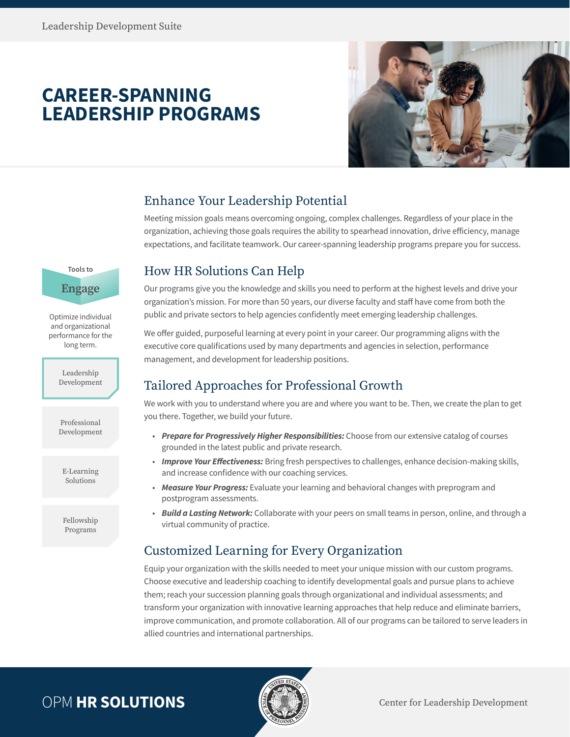**Tools to**

**Engage**

Optimize individual and organizational performance for the long term.

> Leadership Development

> Professional Development

E-Learning Solutions

Fellowship Programs

# **CAREER-SPANNING LEADERSHIP PROGRAMS**



## Enhance Your Leadership Potential

Meeting mission goals means overcoming ongoing, complex challenges. Regardless of your place in the organization, achieving those goals requires the ability to spearhead innovation, drive efficiency, manage expectations, and facilitate teamwork. Our career-spanning leadership programs prepare you for success.

## How HR Solutions Can Help

Our programs give you the knowledge and skills you need to perform at the highest levels and drive your organization's mission. For more than 50 years, our diverse faculty and staff have come from both the public and private sectors to help agencies confidently meet emerging leadership challenges.

We offer guided, purposeful learning at every point in your career. Our programming aligns with the executive core qualifications used by many departments and agencies in selection, performance management, and development for leadership positions.

## Tailored Approaches for Professional Growth

We work with you to understand where you are and where you want to be. Then, we create the plan to get you there. Together, we build your future.

- *Prepare for Progressively Higher Responsibilities:* Choose from our extensive catalog of courses grounded in the latest public and private research.
- *Improve Your Effectiveness:* Bring fresh perspectives to challenges, enhance decision-making skills, and increase confidence with our coaching services.
- *Measure Your Progress:* Evaluate your learning and behavioral changes with preprogram and postprogram assessments.
- *Build a Lasting Network:* Collaborate with your peers on small teams in person, online, and through a virtual community of practice.

## Customized Learning for Every Organization

Equip your organization with the skills needed to meet your unique mission with our custom programs. Choose executive and leadership coaching to identify developmental goals and pursue plans to achieve them; reach your succession planning goals through organizational and individual assessments; and transform your organization with innovative learning approaches that help reduce and eliminate barriers, improve communication, and promote collaboration. All of our programs can be tailored to serve leaders in allied countries and international partnerships.

# OPM **HR SOLUTIONS Example 1 Center for Leadership Development**